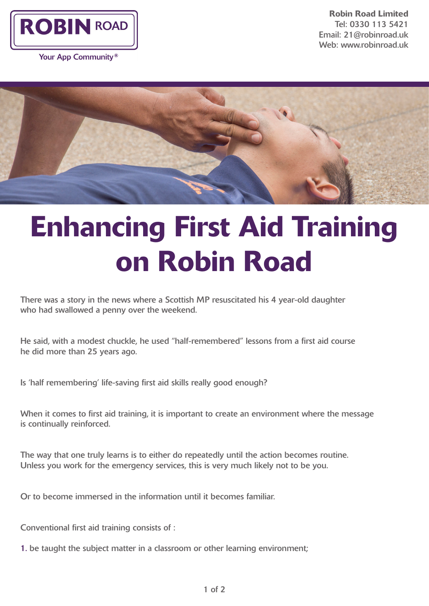

Your App Community<sup>®</sup>

Robin Road Limited Tel: 0330 113 5421 Email: 21@robinroad.uk Web: www.robinroad.uk



## Enhancing First Aid Training on Robin Road

There was a story in the news where a Scottish MP resuscitated his 4 year-old daughter who had swallowed a penny over the weekend.

He said, with a modest chuckle, he used "half-remembered" lessons from a first aid course he did more than 25 years ago.

Is 'half remembering' life-saving first aid skills really good enough?

When it comes to first aid training, it is important to create an environment where the message is continually reinforced.

The way that one truly learns is to either do repeatedly until the action becomes routine. Unless you work for the emergency services, this is very much likely not to be you.

Or to become immersed in the information until it becomes familiar.

Conventional first aid training consists of :

1. be taught the subject matter in a classroom or other learning environment;